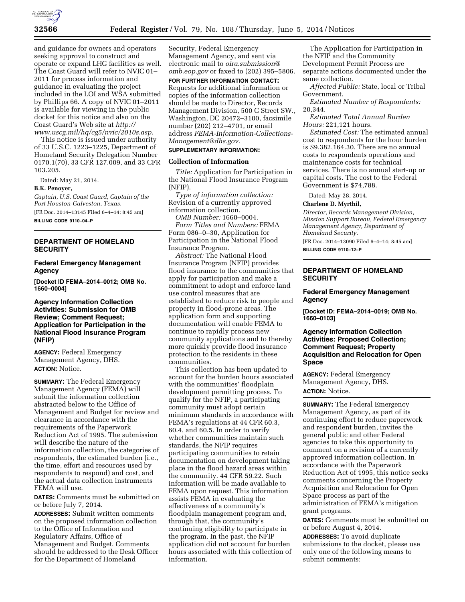

and guidance for owners and operators seeking approval to construct and operate or expand LHG facilities as well. The Coast Guard will refer to NVIC 01– 2011 for process information and guidance in evaluating the project included in the LOI and WSA submitted by Phillips 66. A copy of NVIC 01–2011 is available for viewing in the public docket for this notice and also on the Coast Guard's Web site at *[http://](http://www.uscg.mil/hq/cg5/nvic/2010s.asp) [www.uscg.mil/hq/cg5/nvic/2010s.asp](http://www.uscg.mil/hq/cg5/nvic/2010s.asp)*.

This notice is issued under authority of 33 U.S.C. 1223–1225, Department of Homeland Security Delegation Number 0170.1(70), 33 CFR 127.009, and 33 CFR 103.205.

Dated: May 21, 2014.

#### **B.K. Penoyer,**

*Captain, U.S. Coast Guard, Captain of the Port Houston-Galveston, Texas.*  [FR Doc. 2014–13145 Filed 6–4–14; 8:45 am] **BILLING CODE 9110–04–P** 

### **DEPARTMENT OF HOMELAND SECURITY**

### **Federal Emergency Management Agency**

**[Docket ID FEMA–2014–0012; OMB No. 1660–0004]** 

### **Agency Information Collection Activities: Submission for OMB Review; Comment Request; Application for Participation in the National Flood Insurance Program (NFIP)**

**AGENCY:** Federal Emergency Management Agency, DHS. **ACTION:** Notice.

**SUMMARY:** The Federal Emergency Management Agency (FEMA) will submit the information collection abstracted below to the Office of Management and Budget for review and clearance in accordance with the requirements of the Paperwork Reduction Act of 1995. The submission will describe the nature of the information collection, the categories of respondents, the estimated burden (i.e., the time, effort and resources used by respondents to respond) and cost, and the actual data collection instruments FEMA will use.

**DATES:** Comments must be submitted on or before July 7, 2014.

**ADDRESSES:** Submit written comments on the proposed information collection to the Office of Information and Regulatory Affairs, Office of Management and Budget. Comments should be addressed to the Desk Officer for the Department of Homeland

Security, Federal Emergency Management Agency, and sent via electronic mail to *[oira.submission@](mailto:oira.submission@omb.eop.gov) [omb.eop.gov](mailto:oira.submission@omb.eop.gov)* or faxed to (202) 395–5806.

**FOR FURTHER INFORMATION CONTACT:**  Requests for additional information or copies of the information collection should be made to Director, Records Management Division, 500 C Street SW., Washington, DC 20472–3100, facsimile number (202) 212–4701, or email address *[FEMA-Information-Collections-](mailto:FEMA-Information-Collections-Management@dhs.gov)[Management@dhs.gov.](mailto:FEMA-Information-Collections-Management@dhs.gov)* 

# **SUPPLEMENTARY INFORMATION:**

### **Collection of Information**

*Title:* Application for Participation in the National Flood Insurance Program (NFIP).

*Type of information collection:*  Revision of a currently approved information collection.

*OMB Number:* 1660–0004. *Form Titles and Numbers:* FEMA Form 086–0–30, Application for Participation in the National Flood Insurance Program.

*Abstract:* The National Flood Insurance Program (NFIP) provides flood insurance to the communities that apply for participation and make a commitment to adopt and enforce land use control measures that are established to reduce risk to people and property in flood-prone areas. The application form and supporting documentation will enable FEMA to continue to rapidly process new community applications and to thereby more quickly provide flood insurance protection to the residents in these communities.

This collection has been updated to account for the burden hours associated with the communities' floodplain development permitting process. To qualify for the NFIP, a participating community must adopt certain minimum standards in accordance with FEMA's regulations at 44 CFR 60.3, 60.4, and 60.5. In order to verify whether communities maintain such standards, the NFIP requires participating communities to retain documentation on development taking place in the flood hazard areas within the community. 44 CFR 59.22. Such information will be made available to FEMA upon request. This information assists FEMA in evaluating the effectiveness of a community's floodplain management program and, through that, the community's continuing eligibility to participate in the program. In the past, the NFIP application did not account for burden hours associated with this collection of information.

The Application for Participation in the NFIP and the Community Development Permit Process are separate actions documented under the same collection.

*Affected Public:* State, local or Tribal Government.

*Estimated Number of Respondents:*  20,344.

*Estimated Total Annual Burden Hours:* 221,121 hours.

*Estimated Cost:* The estimated annual cost to respondents for the hour burden is \$9,382,164.30. There are no annual costs to respondents operations and maintenance costs for technical services. There is no annual start-up or capital costs. The cost to the Federal Government is \$74,788.

Dated: May 28, 2014.

**Charlene D. Myrthil,** 

*Director, Records Management Division, Mission Support Bureau, Federal Emergency Management Agency, Department of Homeland Security.* 

[FR Doc. 2014–13090 Filed 6–4–14; 8:45 am] **BILLING CODE 9110–12–P** 

### **DEPARTMENT OF HOMELAND SECURITY**

### **Federal Emergency Management Agency**

**[Docket ID: FEMA–2014–0019; OMB No. 1660–0103]** 

### **Agency Information Collection Activities: Proposed Collection; Comment Request; Property Acquisition and Relocation for Open Space**

**AGENCY:** Federal Emergency Management Agency, DHS. **ACTION:** Notice.

**SUMMARY:** The Federal Emergency Management Agency, as part of its continuing effort to reduce paperwork and respondent burden, invites the general public and other Federal agencies to take this opportunity to comment on a revision of a currently approved information collection. In accordance with the Paperwork Reduction Act of 1995, this notice seeks comments concerning the Property Acquisition and Relocation for Open Space process as part of the administration of FEMA's mitigation grant programs.

**DATES:** Comments must be submitted on or before August 4, 2014.

**ADDRESSES:** To avoid duplicate submissions to the docket, please use only one of the following means to submit comments: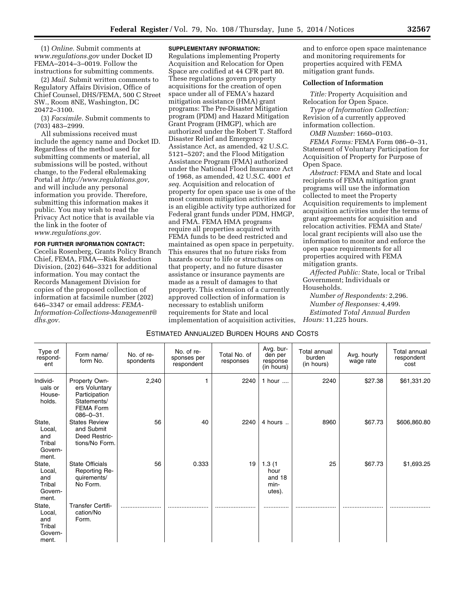(1) *Online.* Submit comments at *[www.regulations.gov](http://www.regulations.gov)* under Docket ID FEMA–2014–3–0019. Follow the instructions for submitting comments.

(2) *Mail.* Submit written comments to Regulatory Affairs Division, Office of Chief Counsel, DHS/FEMA, 500 C Street SW., Room 8NE, Washington, DC 20472–3100.

(3) *Facsimile.* Submit comments to (703) 483–2999.

All submissions received must include the agency name and Docket ID. Regardless of the method used for submitting comments or material, all submissions will be posted, without change, to the Federal eRulemaking Portal at *[http://www.regulations.gov,](http://www.regulations.gov)*  and will include any personal information you provide. Therefore, submitting this information makes it public. You may wish to read the Privacy Act notice that is available via the link in the footer of *[www.regulations.gov.](http://www.regulations.gov)* 

#### **FOR FURTHER INFORMATION CONTACT:**

Cecelia Rosenberg, Grants Policy Branch Chief, FEMA, FIMA—Risk Reduction Division, (202) 646–3321 for additional information. You may contact the Records Management Division for copies of the proposed collection of information at facsimile number (202) 646–3347 or email address: *[FEMA-](mailto:FEMA-Information-Collections-Management@dhs.gov)[Information-Collections-Management@](mailto:FEMA-Information-Collections-Management@dhs.gov) [dhs.gov.](mailto:FEMA-Information-Collections-Management@dhs.gov)* 

### **SUPPLEMENTARY INFORMATION:**

Regulations implementing Property Acquisition and Relocation for Open Space are codified at 44 CFR part 80. These regulations govern property acquisitions for the creation of open space under all of FEMA's hazard mitigation assistance (HMA) grant programs: The Pre-Disaster Mitigation program (PDM) and Hazard Mitigation Grant Program (HMGP), which are authorized under the Robert T. Stafford Disaster Relief and Emergency Assistance Act, as amended, 42 U.S.C. 5121–5207; and the Flood Mitigation Assistance Program (FMA) authorized under the National Flood Insurance Act of 1968, as amended, 42 U.S.C. 4001 *et seq.* Acquisition and relocation of property for open space use is one of the most common mitigation activities and is an eligible activity type authorized for Federal grant funds under PDM, HMGP, and FMA. FEMA HMA programs require all properties acquired with FEMA funds to be deed restricted and maintained as open space in perpetuity. This ensures that no future risks from hazards occur to life or structures on that property, and no future disaster assistance or insurance payments are made as a result of damages to that property. This extension of a currently approved collection of information is necessary to establish uniform requirements for State and local implementation of acquisition activities,

and to enforce open space maintenance and monitoring requirements for properties acquired with FEMA mitigation grant funds.

### **Collection of Information**

*Title:* Property Acquisition and Relocation for Open Space.

*Type of Information Collection:*  Revision of a currently approved information collection.

*OMB Number:* 1660–0103.

*FEMA Forms:* FEMA Form 086–0–31, Statement of Voluntary Participation for Acquisition of Property for Purpose of Open Space.

*Abstract:* FEMA and State and local recipients of FEMA mitigation grant programs will use the information collected to meet the Property Acquisition requirements to implement acquisition activities under the terms of grant agreements for acquisition and relocation activities. FEMA and State/ local grant recipients will also use the information to monitor and enforce the open space requirements for all properties acquired with FEMA mitigation grants.

*Affected Public:* State, local or Tribal Government; Individuals or Households.

*Number of Respondents:* 2,296. *Number of Responses:* 4,499. *Estimated Total Annual Burden Hours:* 11,225 hours.

#### ESTIMATED ANNUALIZED BURDEN HOURS AND COSTS

| Type of<br>respond-<br>ent                            | Form name/<br>form No.                                                                                 | No. of re-<br>spondents | No. of re-<br>sponses per<br>respondent | Total No. of<br>responses | Avg. bur-<br>den per<br>response<br>(in hours) | Total annual<br>burden<br>(in hours) | Avg. hourly<br>wage rate | Total annual<br>respondent<br>cost |
|-------------------------------------------------------|--------------------------------------------------------------------------------------------------------|-------------------------|-----------------------------------------|---------------------------|------------------------------------------------|--------------------------------------|--------------------------|------------------------------------|
| Individ-<br>uals or<br>House-<br>holds.               | Property Own-<br>ers Voluntary<br>Participation<br>Statements/<br><b>FEMA Form</b><br>$086 - 0 - 31$ . | 2,240                   |                                         | 2240                      | 1 hour                                         | 2240                                 | \$27.38                  | \$61,331.20                        |
| State,<br>Local,<br>and<br>Tribal<br>Govern-<br>ment. | <b>States Review</b><br>and Submit<br>Deed Restric-<br>tions/No Form.                                  | 56                      | 40                                      | 2240                      | 4 hours                                        | 8960                                 | \$67.73                  | \$606,860.80                       |
| State,<br>Local,<br>and<br>Tribal<br>Govern-<br>ment. | <b>State Officials</b><br>Reporting Re-<br>quirements/<br>No Form.                                     | 56                      | 0.333                                   | 19                        | 1.3(1)<br>hour<br>and 18<br>min-<br>utes).     | 25                                   | \$67.73                  | \$1,693.25                         |
| State,<br>Local,<br>and<br>Tribal<br>Govern-<br>ment. | <b>Transfer Certifi-</b><br>cation/No<br>Form.                                                         |                         |                                         |                           |                                                |                                      |                          |                                    |